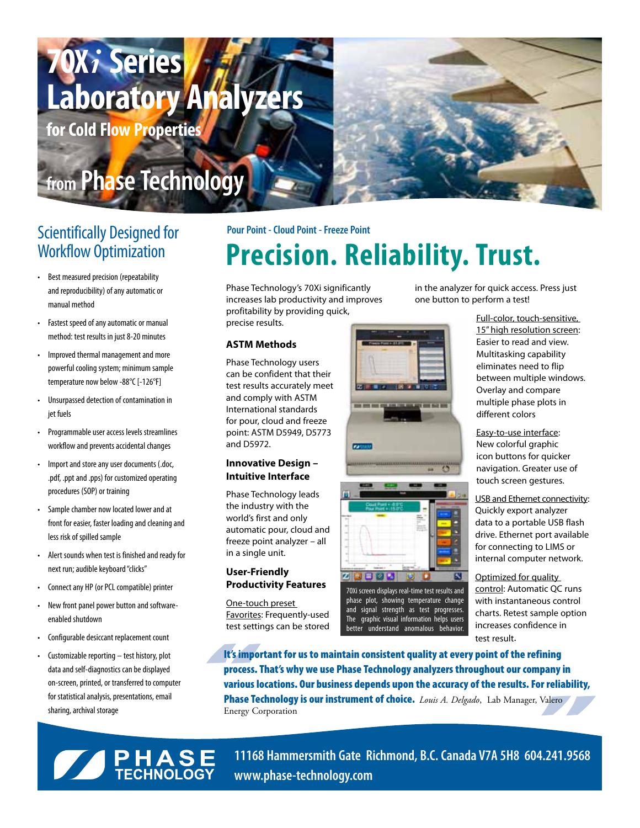## **70X***i* **Series Laboratory Analyzers for Cold Flow Properties**

### **from Phase Technology**

- • Best measured precision (repeatability and reproducibility) of any automatic or manual method
- Fastest speed of any automatic or manual method: test results in just 8-20 minutes
- • Improved thermal management and more powerful cooling system; minimum sample temperature now below -88°C [-126°F]
- Unsurpassed detection of contamination in jet fuels
- • Programmable user access levels streamlines workflow and prevents accidental changes
- • Import and store any user documents (.doc, .pdf, .ppt and .pps) for customized operating procedures (SOP) or training
- • Sample chamber now located lower and at front for easier, faster loading and cleaning and less risk of spilled sample
- • Alert sounds when test is finished and ready for next run; audible keyboard "clicks"
- Connect any HP (or PCL compatible) printer
- New front panel power button and softwareenabled shutdown
- Configurable desiccant replacement count
- • Customizable reporting test history, plot data and self-diagnostics can be displayed on-screen, printed, or transferred to computer for statistical analysis, presentations, email sharing, archival storage

### **Pour Point - Cloud Point - Freeze Point**<br> **Procision**<br> **Procision**<br> **Procision** Precision. Reliability. Trust.

Phase Technology's 70Xi significantly increases lab productivity and improves profitability by providing quick, precise results.

#### **ASTM Methods**

Phase Technology users can be confident that their test results accurately meet and comply with ASTM International standards for pour, cloud and freeze point: ASTM D5949, D5773 and D5972.

#### **Innovative Design – Intuitive Interface**

Phase Technology leads the industry with the world's first and only automatic pour, cloud and freeze point analyzer – all in a single unit.

#### **User-Friendly Productivity Features**

One-touch preset Favorites: Frequently-used test settings can be stored



in the analyzer for quick access. Press just one button to perform a test!

> Full-color, touch-sensitive, 15" high resolution screen: Easier to read and view. Multitasking capability eliminates need to flip between multiple windows. Overlay and compare multiple phase plots in different colors

Easy-to-use interface: New colorful graphic icon buttons for quicker navigation. Greater use of touch screen gestures.

USB and Ethernet connectivity: Quickly export analyzer data to a portable USB flash drive. Ethernet port available for connecting to LIMS or internal computer network.

Optimized for quality control: Automatic QC runs with instantaneous control charts. Retest sample option increases confidence in test result.

It's important for us to maintain consistent quality at every point of the refining process. That's why we use Phase Technology analyzers throughout our company in various locations. Our business depends upon the accuracy of the results. For reliability, Phase Technology is our instrument of choice. *Louis A. Delgado*, Lab Manager, Valero Energy Corporation

70Xi screen displays real-time test results and phase plot, showing temperature change and signal strength as test progresses. The graphic visual information helps users better understand anomalous behavior.

K

**SERVICE HASE** 

**11168 Hammersmith Gate Richmond, B.C. Canada V7A 5H8 604.241.9568 www.phase-technology.com**